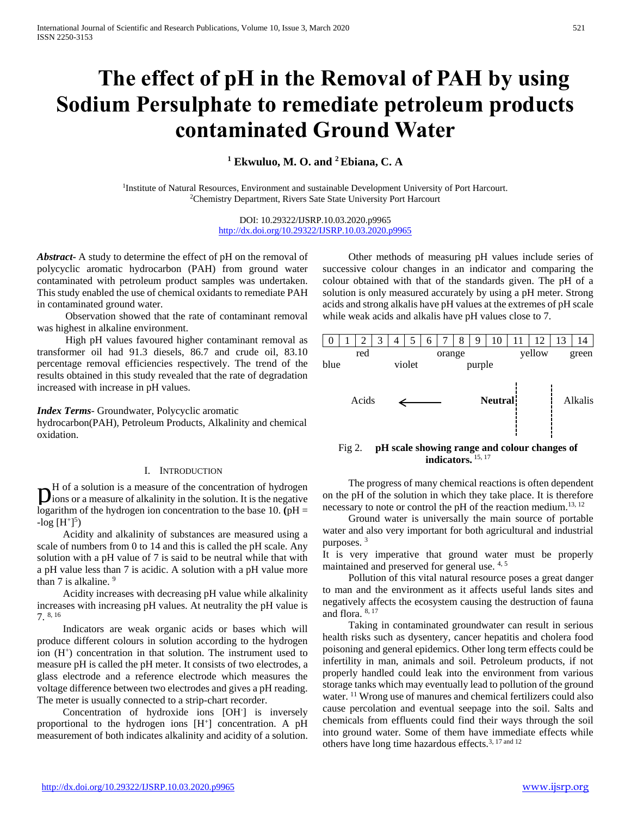# **The effect of pH in the Removal of PAH by using Sodium Persulphate to remediate petroleum products contaminated Ground Water**

**<sup>1</sup> Ekwuluo, M. O. and <sup>2</sup>Ebiana, C. A** 

<sup>1</sup>Institute of Natural Resources, Environment and sustainable Development University of Port Harcourt. <sup>2</sup>Chemistry Department, Rivers Sate State University Port Harcourt

> DOI: 10.29322/IJSRP.10.03.2020.p9965 <http://dx.doi.org/10.29322/IJSRP.10.03.2020.p9965>

*Abstract***-** A study to determine the effect of pH on the removal of polycyclic aromatic hydrocarbon (PAH) from ground water contaminated with petroleum product samples was undertaken. This study enabled the use of chemical oxidants to remediate PAH in contaminated ground water.

 Observation showed that the rate of contaminant removal was highest in alkaline environment.

 High pH values favoured higher contaminant removal as transformer oil had 91.3 diesels, 86.7 and crude oil, 83.10 percentage removal efficiencies respectively. The trend of the results obtained in this study revealed that the rate of degradation increased with increase in pH values.

## *Index Terms*- Groundwater, Polycyclic aromatic

hydrocarbon(PAH), Petroleum Products, Alkalinity and chemical oxidation.

## I. INTRODUCTION

H of a solution is a measure of the concentration of hydrogen  $\mathbf{D}^{\text{H}}$  of a solution is a measure of the concentration of hydrogen loss or a measure of alkalinity in the solution. It is the negative logarithm of the hydrogen ion concentration to the base 10.  $(pH =$  $-log [H^+]^5$ 

 Acidity and alkalinity of substances are measured using a scale of numbers from 0 to 14 and this is called the pH scale. Any solution with a pH value of 7 is said to be neutral while that with a pH value less than 7 is acidic. A solution with a pH value more than 7 is alkaline. <sup>9</sup>

 Acidity increases with decreasing pH value while alkalinity increases with increasing pH values. At neutrality the pH value is 7. 8, 16

 Indicators are weak organic acids or bases which will produce different colours in solution according to the hydrogen ion (H<sup>+</sup>) concentration in that solution. The instrument used to measure pH is called the pH meter. It consists of two electrodes, a glass electrode and a reference electrode which measures the voltage difference between two electrodes and gives a pH reading. The meter is usually connected to a strip-chart recorder.

 Concentration of hydroxide ions [OH- ] is inversely proportional to the hydrogen ions [H<sup>+</sup>] concentration. A pH measurement of both indicates alkalinity and acidity of a solution.

 Other methods of measuring pH values include series of successive colour changes in an indicator and comparing the colour obtained with that of the standards given. The pH of a solution is only measured accurately by using a pH meter. Strong acids and strong alkalis have pH values at the extremes of pH scale while weak acids and alkalis have pH values close to 7.



**indicators.** 15, 17

 The progress of many chemical reactions is often dependent on the pH of the solution in which they take place. It is therefore necessary to note or control the pH of the reaction medium.<sup>13, 12</sup>

 Ground water is universally the main source of portable water and also very important for both agricultural and industrial purposes. <sup>3</sup>

It is very imperative that ground water must be properly maintained and preserved for general use. 4, 5

 Pollution of this vital natural resource poses a great danger to man and the environment as it affects useful lands sites and negatively affects the ecosystem causing the destruction of fauna and flora. 8, 17

 Taking in contaminated groundwater can result in serious health risks such as dysentery, cancer hepatitis and cholera food poisoning and general epidemics. Other long term effects could be infertility in man, animals and soil. Petroleum products, if not properly handled could leak into the environment from various storage tanks which may eventually lead to pollution of the ground water. <sup>11</sup> Wrong use of manures and chemical fertilizers could also cause percolation and eventual seepage into the soil. Salts and chemicals from effluents could find their ways through the soil into ground water. Some of them have immediate effects while others have long time hazardous effects.3, 17 and 12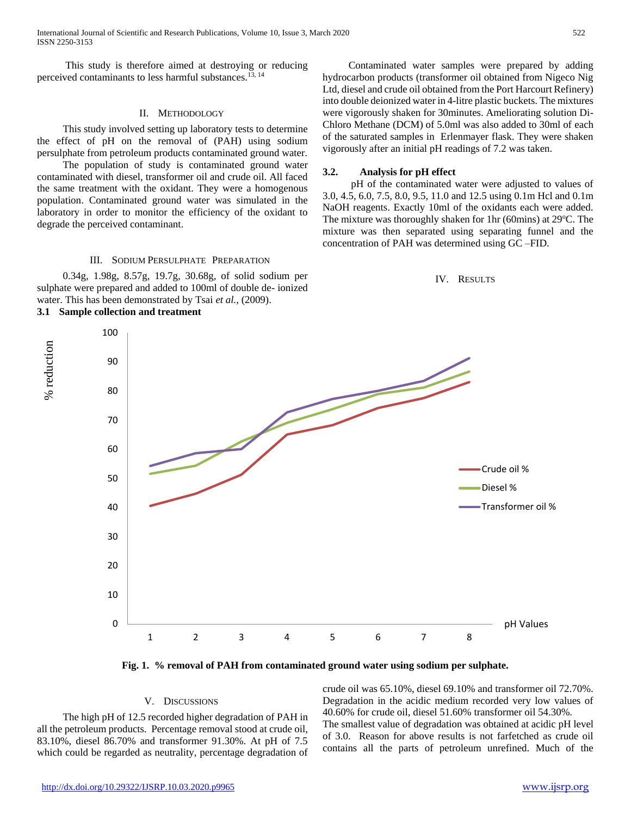This study is therefore aimed at destroying or reducing perceived contaminants to less harmful substances.13, 14

## II. METHODOLOGY

 This study involved setting up laboratory tests to determine the effect of pH on the removal of (PAH) using sodium persulphate from petroleum products contaminated ground water.

 The population of study is contaminated ground water contaminated with diesel, transformer oil and crude oil. All faced the same treatment with the oxidant. They were a homogenous population. Contaminated ground water was simulated in the laboratory in order to monitor the efficiency of the oxidant to degrade the perceived contaminant.

## III. SODIUM PERSULPHATE PREPARATION

 0.34g, 1.98g, 8.57g, 19.7g, 30.68g, of solid sodium per sulphate were prepared and added to 100ml of double de- ionized water. This has been demonstrated by Tsai *et al.,* (2009).

**3.1 Sample collection and treatment**

 Contaminated water samples were prepared by adding hydrocarbon products (transformer oil obtained from Nigeco Nig Ltd, diesel and crude oil obtained from the Port Harcourt Refinery) into double deionized water in 4-litre plastic buckets. The mixtures were vigorously shaken for 30minutes. Ameliorating solution Di-Chloro Methane (DCM) of 5.0ml was also added to 30ml of each of the saturated samples in Erlenmayer flask. They were shaken vigorously after an initial pH readings of 7.2 was taken.

#### **3.2. Analysis for pH effect**

 pH of the contaminated water were adjusted to values of 3.0, 4.5, 6.0, 7.5, 8.0, 9.5, 11.0 and 12.5 using 0.1m Hcl and 0.1m NaOH reagents. Exactly 10ml of the oxidants each were added. The mixture was thoroughly shaken for 1hr (60mins) at  $29^{\circ}$ C. The mixture was then separated using separating funnel and the concentration of PAH was determined using GC –FID.





**Fig. 1. % removal of PAH from contaminated ground water using sodium per sulphate.**

### V. DISCUSSIONS

 The high pH of 12.5 recorded higher degradation of PAH in all the petroleum products. Percentage removal stood at crude oil, 83.10%, diesel 86.70% and transformer 91.30%. At pH of 7.5 which could be regarded as neutrality, percentage degradation of crude oil was 65.10%, diesel 69.10% and transformer oil 72.70%. Degradation in the acidic medium recorded very low values of 40.60% for crude oil, diesel 51.60% transformer oil 54.30%. The smallest value of degradation was obtained at acidic pH level of 3.0. Reason for above results is not farfetched as crude oil contains all the parts of petroleum unrefined. Much of the